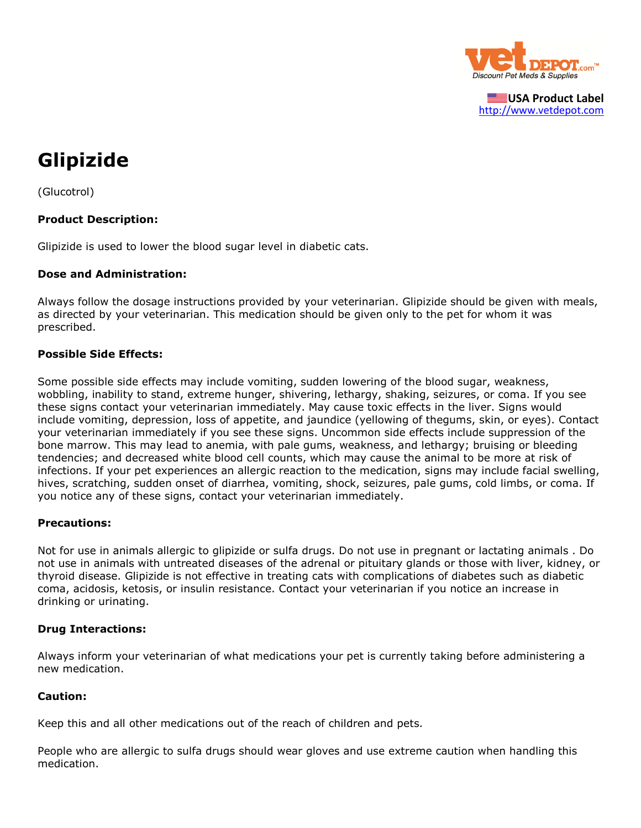

**USA Product Label** [http://www.vetdepot.com](http://www.vetdepot.com/)

# **Glipizide**

(Glucotrol)

### **Product Description:**

Glipizide is used to lower the blood sugar level in diabetic cats.

#### **Dose and Administration:**

Always follow the dosage instructions provided by your veterinarian. Glipizide should be given with meals, as directed by your veterinarian. This medication should be given only to the pet for whom it was prescribed.

#### **Possible Side Effects:**

Some possible side effects may include vomiting, sudden lowering of the blood sugar, weakness, wobbling, inability to stand, extreme hunger, shivering, lethargy, shaking, seizures, or coma. If you see these signs contact your veterinarian immediately. May cause toxic effects in the liver. Signs would include vomiting, depression, loss of appetite, and jaundice (yellowing of thegums, skin, or eyes). Contact your veterinarian immediately if you see these signs. Uncommon side effects include suppression of the bone marrow. This may lead to anemia, with pale gums, weakness, and lethargy; bruising or bleeding tendencies; and decreased white blood cell counts, which may cause the animal to be more at risk of infections. If your pet experiences an allergic reaction to the medication, signs may include facial swelling, hives, scratching, sudden onset of diarrhea, vomiting, shock, seizures, pale gums, cold limbs, or coma. If you notice any of these signs, contact your veterinarian immediately.

#### **Precautions:**

Not for use in animals allergic to glipizide or sulfa drugs. Do not use in pregnant or lactating animals . Do not use in animals with untreated diseases of the adrenal or pituitary glands or those with liver, kidney, or thyroid disease. Glipizide is not effective in treating cats with complications of diabetes such as diabetic coma, acidosis, ketosis, or insulin resistance. Contact your veterinarian if you notice an increase in drinking or urinating.

#### **Drug Interactions:**

Always inform your veterinarian of what medications your pet is currently taking before administering a new medication.

#### **Caution:**

Keep this and all other medications out of the reach of children and pets*.*

People who are allergic to sulfa drugs should wear gloves and use extreme caution when handling this medication.